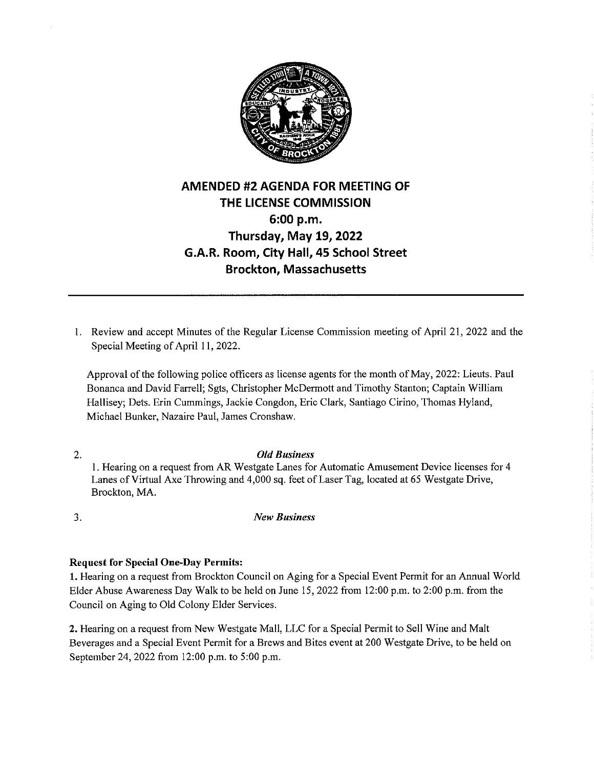

## **AMENDED #2 AGENDA FOR MEETING OF THE LICENSE COMMISSION 6:00 p.m. Thursday, May 19, 2022 G.A.R. Room, City Hall, 45 School Street Brockton, Massachusetts**

1. Review and accept Minutes of the Regular License Commission meeting of April 21, 2022 and the Special Meeting of April 11, 2022.

Approval of the following police officers as license agents for the month of May, 2022: Lieuts. Paul Bonanca and David Farrell; Sgts, Christopher McDermott and Timothy Stanton; Captain William Hallisey; Dets. Erin Cummings, Jackie Congdon, Eric Clark, Santiago Cirino, Thomas Hyland, Michael Bunker, Nazaire Paul, James Cronshaw.

2. *Old Business*  I. Hearing on a request from AR Westgate Lanes for Automatic Amusement Device licenses for 4 Lanes of Virtual Axe Throwing and 4,000 sq. feet of Laser Tag, located at 65 Westgate Drive, Brockton, MA.

3. *New Business* 

## **Request for Special One-Day Permits:**

**1.** Hearing on a request from Brockton Council on Aging for a Special Event Permit for an Annual World Elder Abuse Awareness Day Walk to be held on June 15, 2022 from 12:00 p.m. to 2:00 p.m. from the Council on Aging to Old Colony Elder Services.

**2.** Hearing on a request from New Westgate Mall, LLC for a Special Permit to Sell Wine and Malt Beverages and a Special Event Permit for a Brews and Bites event at 200 Westgate Drive, to be held on September 24, 2022 from 12:00 p.m. to 5:00 p.m.